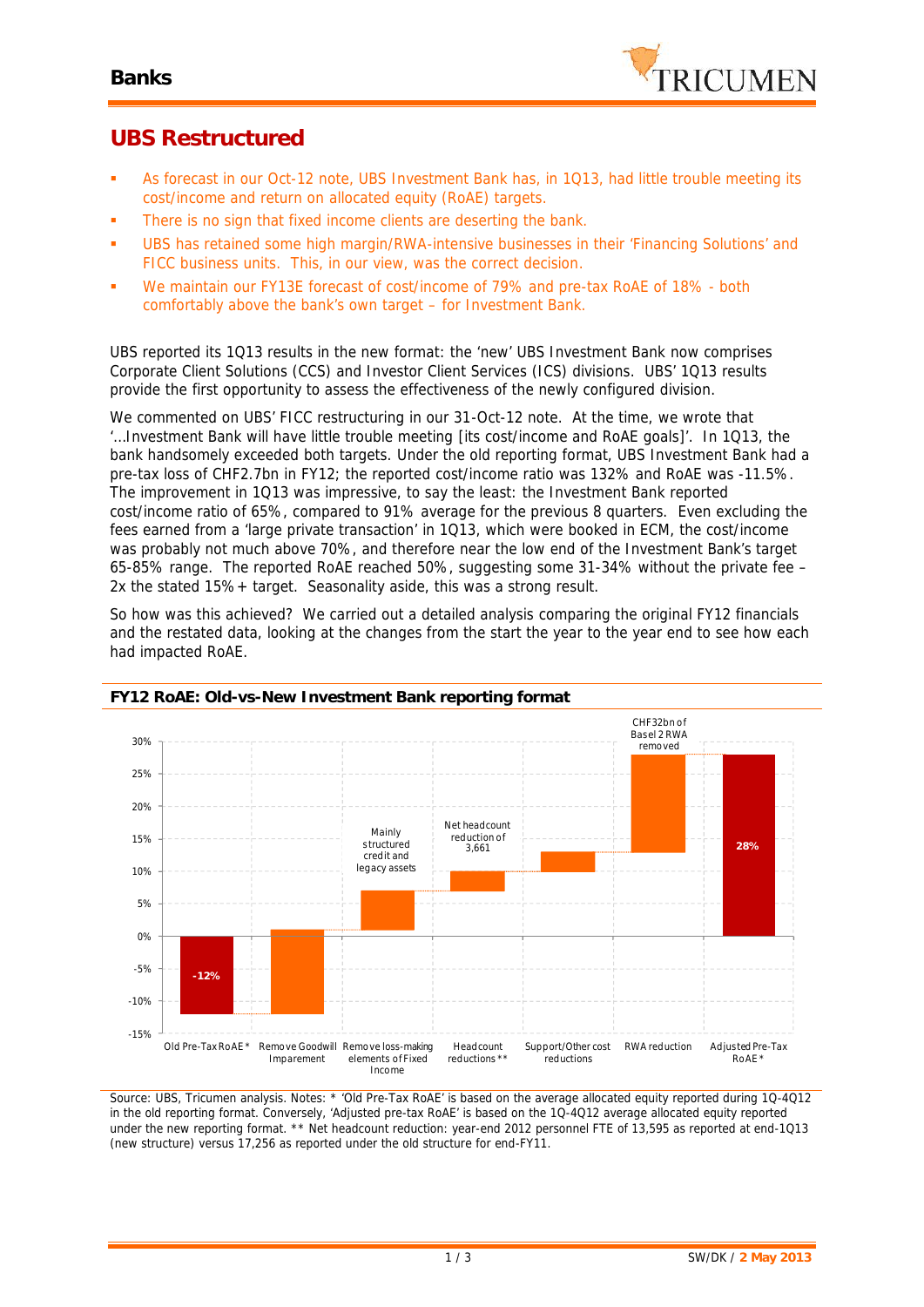

## **UBS Restructured**

- As forecast in our Oct-12 note, UBS Investment Bank has, in 1Q13, had little trouble meeting its cost/income and return on allocated equity (RoAE) targets.
- **There is no sign that fixed income clients are deserting the bank.**
- UBS has retained some high margin/RWA-intensive businesses in their 'Financing Solutions' and FICC business units. This, in our view, was the correct decision.
- We maintain our FY13E forecast of cost/income of 79% and pre-tax RoAE of 18% both comfortably above the bank's own target – for Investment Bank.

UBS reported its 1Q13 results in the new format: the 'new' UBS Investment Bank now comprises Corporate Client Solutions (CCS) and Investor Client Services (ICS) divisions. UBS' 1Q13 results provide the first opportunity to assess the effectiveness of the newly configured division.

We commented on UBS' FICC restructuring in our 31-Oct-12 note. At the time, we wrote that '*…Investment Bank will have little trouble meeting* [its cost/income and RoAE goals]'. In 1Q13, the bank handsomely exceeded both targets. Under the old reporting format, UBS Investment Bank had a pre-tax loss of CHF2.7bn in FY12; the reported cost/income ratio was 132% and RoAE was -11.5%. The improvement in 1Q13 was impressive, to say the least: the Investment Bank reported cost/income ratio of 65%, compared to 91% average for the previous 8 quarters. Even excluding the fees earned from a 'large private transaction' in 1Q13, which were booked in ECM, the cost/income was probably not much above 70%, and therefore near the low end of the Investment Bank's target 65-85% range. The reported RoAE reached 50%, suggesting some 31-34% without the private fee – 2x the stated 15%+ target. Seasonality aside, this was a strong result.

So how was this achieved? We carried out a detailed analysis comparing the original FY12 financials and the restated data, looking at the changes from the start the year to the year end to see how each had impacted RoAE.



*Source: UBS, Tricumen analysis. Notes: \* 'Old Pre-Tax RoAE' is based on the average allocated equity reported during 1Q-4Q12 in the old reporting format. Conversely, 'Adjusted pre-tax RoAE' is based on the 1Q-4Q12 average allocated equity reported under the new reporting format. \*\* Net headcount reduction: year-end 2012 personnel FTE of 13,595 as reported at end-1Q13 (new structure) versus 17,256 as reported under the old structure for end-FY11.*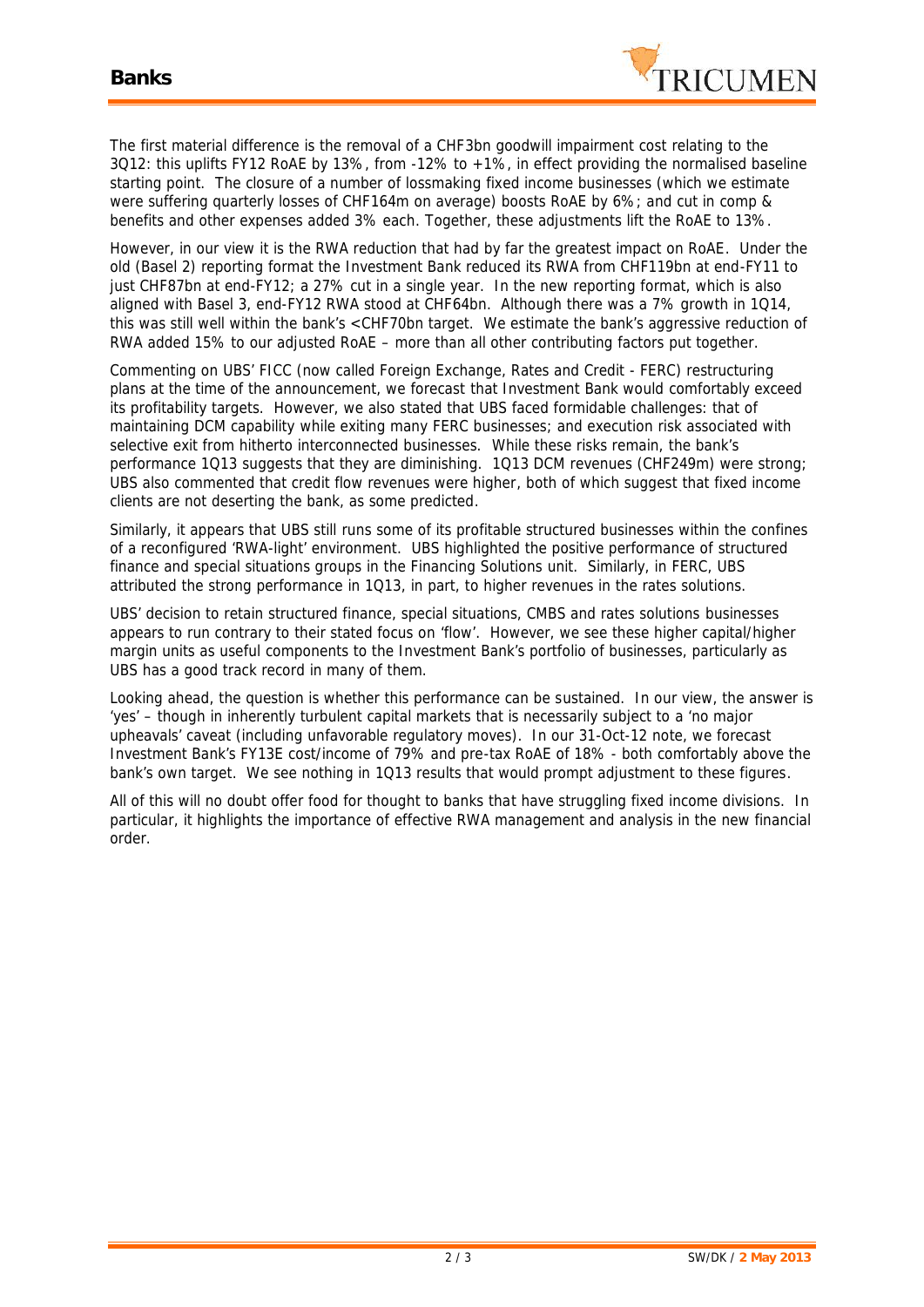

The first material difference is the removal of a CHF3bn goodwill impairment cost relating to the 3Q12: this uplifts FY12 RoAE by 13%, from -12% to +1%, in effect providing the normalised baseline starting point. The closure of a number of lossmaking fixed income businesses (which we estimate were suffering quarterly losses of CHF164m on average) boosts RoAE by 6%; and cut in comp & benefits and other expenses added 3% each. Together, these adjustments lift the RoAE to 13%.

However, in our view it is the RWA reduction that had by far the greatest impact on RoAE. Under the old (Basel 2) reporting format the Investment Bank reduced its RWA from CHF119bn at end-FY11 to just CHF87bn at end-FY12; a 27% cut in a single year. In the new reporting format, which is also aligned with Basel 3, end-FY12 RWA stood at CHF64bn. Although there was a 7% growth in 1Q14, this was still well within the bank's <CHF70bn target. We estimate the bank's aggressive reduction of RWA added 15% to our adjusted RoAE – more than all other contributing factors put together.

Commenting on UBS' FICC (now called Foreign Exchange, Rates and Credit - FERC) restructuring plans at the time of the announcement, we forecast that Investment Bank would comfortably exceed its profitability targets. However, we also stated that UBS faced formidable challenges: that of maintaining DCM capability while exiting many FERC businesses; and execution risk associated with selective exit from hitherto interconnected businesses. While these risks remain, the bank's performance 1Q13 suggests that they are diminishing. 1Q13 DCM revenues (CHF249m) were strong; UBS also commented that credit flow revenues were higher, both of which suggest that fixed income clients are not deserting the bank, as some predicted.

Similarly, it appears that UBS still runs some of its profitable structured businesses within the confines of a reconfigured 'RWA-light' environment. UBS highlighted the positive performance of structured finance and special situations groups in the Financing Solutions unit. Similarly, in FERC, UBS attributed the strong performance in 1Q13, in part, to higher revenues in the rates solutions.

UBS' decision to retain structured finance, special situations, CMBS and rates solutions businesses appears to run contrary to their stated focus on 'flow'. However, we see these higher capital/higher margin units as useful components to the Investment Bank's portfolio of businesses, particularly as UBS has a good track record in many of them.

Looking ahead, the question is whether this performance can be sustained. In our view, the answer is 'yes' – though in inherently turbulent capital markets that is necessarily subject to a 'no major upheavals' caveat (including unfavorable regulatory moves). In our 31-Oct-12 note, we forecast Investment Bank's FY13E cost/income of 79% and pre-tax RoAE of 18% - both comfortably above the bank's own target. We see nothing in 1Q13 results that would prompt adjustment to these figures.

All of this will no doubt offer food for thought to banks that have struggling fixed income divisions. In particular, it highlights the importance of effective RWA management and analysis in the new financial order.